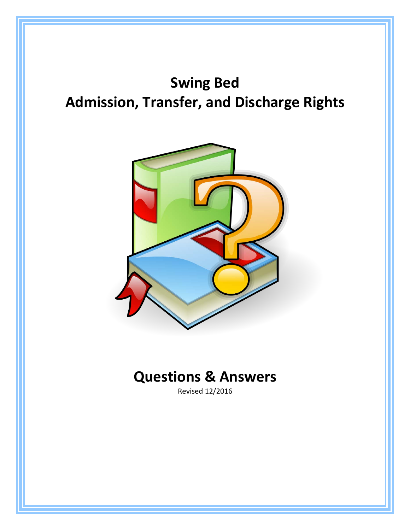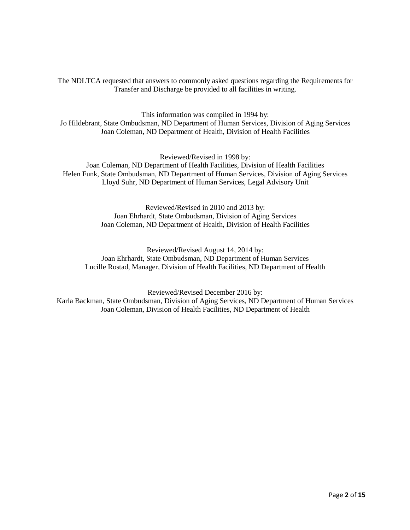The NDLTCA requested that answers to commonly asked questions regarding the Requirements for Transfer and Discharge be provided to all facilities in writing.

This information was compiled in 1994 by: Jo Hildebrant, State Ombudsman, ND Department of Human Services, Division of Aging Services Joan Coleman, ND Department of Health, Division of Health Facilities

Reviewed/Revised in 1998 by: Joan Coleman, ND Department of Health Facilities, Division of Health Facilities Helen Funk, State Ombudsman, ND Department of Human Services, Division of Aging Services Lloyd Suhr, ND Department of Human Services, Legal Advisory Unit

> Reviewed/Revised in 2010 and 2013 by: Joan Ehrhardt, State Ombudsman, Division of Aging Services Joan Coleman, ND Department of Health, Division of Health Facilities

Reviewed/Revised August 14, 2014 by: Joan Ehrhardt, State Ombudsman, ND Department of Human Services Lucille Rostad, Manager, Division of Health Facilities, ND Department of Health

Reviewed/Revised December 2016 by: Karla Backman, State Ombudsman, Division of Aging Services, ND Department of Human Services Joan Coleman, Division of Health Facilities, ND Department of Health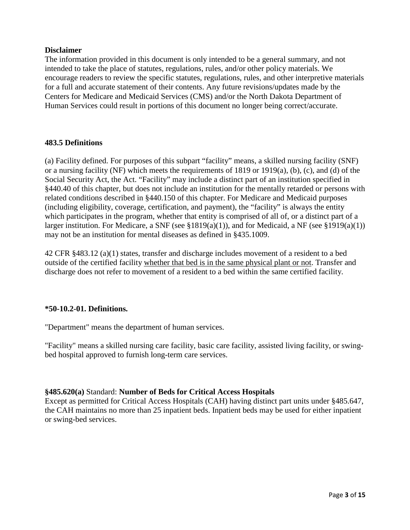#### **Disclaimer**

The information provided in this document is only intended to be a general summary, and not intended to take the place of statutes, regulations, rules, and/or other policy materials. We encourage readers to review the specific statutes, regulations, rules, and other interpretive materials for a full and accurate statement of their contents. Any future revisions/updates made by the Centers for Medicare and Medicaid Services (CMS) and/or the North Dakota Department of Human Services could result in portions of this document no longer being correct/accurate.

#### **483.5 Definitions**

(a) Facility defined. For purposes of this subpart "facility" means, a skilled nursing facility (SNF) or a nursing facility (NF) which meets the requirements of 1819 or 1919(a), (b), (c), and (d) of the Social Security Act, the Act. "Facility" may include a distinct part of an institution specified in §440.40 of this chapter, but does not include an institution for the mentally retarded or persons with related conditions described in §440.150 of this chapter. For Medicare and Medicaid purposes (including eligibility, coverage, certification, and payment), the "facility" is always the entity which participates in the program, whether that entity is comprised of all of, or a distinct part of a larger institution. For Medicare, a SNF (see §1819(a)(1)), and for Medicaid, a NF (see §1919(a)(1)) may not be an institution for mental diseases as defined in §435.1009.

42 CFR §483.12 (a)(1) states, transfer and discharge includes movement of a resident to a bed outside of the certified facility whether that bed is in the same physical plant or not. Transfer and discharge does not refer to movement of a resident to a bed within the same certified facility.

# **\*50-10.2-01. Definitions.**

"Department" means the department of human services.

"Facility" means a skilled nursing care facility, basic care facility, assisted living facility, or swingbed hospital approved to furnish long-term care services.

# **§485.620(a)** Standard: **Number of Beds for Critical Access Hospitals**

Except as permitted for Critical Access Hospitals (CAH) having distinct part units under §485.647, the CAH maintains no more than 25 inpatient beds. Inpatient beds may be used for either inpatient or swing-bed services.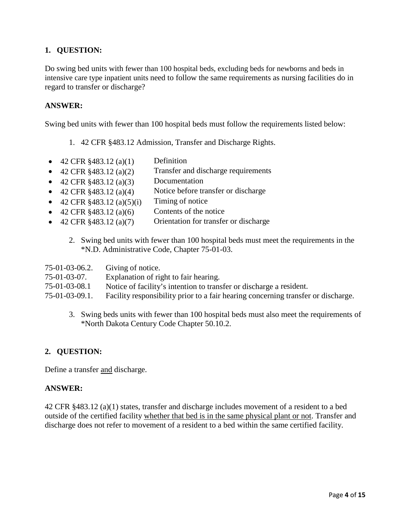Do swing bed units with fewer than 100 hospital beds, excluding beds for newborns and beds in intensive care type inpatient units need to follow the same requirements as nursing facilities do in regard to transfer or discharge?

### **ANSWER:**

Swing bed units with fewer than 100 hospital beds must follow the requirements listed below:

1. 42 CFR §483.12 Admission, Transfer and Discharge Rights.

- 42 CFR  $$483.12\ (a)(1)$  Definition
- 42 CFR  $§$ 483.12 (a)(2) Transfer and discharge requirements
- 42 CFR  $§$ 483.12 (a)(3) Documentation
- 42 CFR  $§$ 483.12 (a)(4) Notice before transfer or discharge
- 42 CFR  $§$ 483.12 (a)(5)(i) Timing of notice
- 42 CFR  $§$ 483.12 (a)(6) Contents of the notice
- 42 CFR §483.12 (a)(7) Orientation for transfer or discharge
	- 2. Swing bed units with fewer than 100 hospital beds must meet the requirements in the \*N.D. Administrative Code, Chapter 75-01-03.

| Giving of notice.                                                                 |
|-----------------------------------------------------------------------------------|
| Explanation of right to fair hearing.                                             |
| Notice of facility's intention to transfer or discharge a resident.               |
| Facility responsibility prior to a fair hearing concerning transfer or discharge. |
|                                                                                   |

3. Swing beds units with fewer than 100 hospital beds must also meet the requirements of \*North Dakota Century Code Chapter 50.10.2.

# **2. QUESTION:**

Define a transfer and discharge.

#### **ANSWER:**

42 CFR §483.12 (a)(1) states, transfer and discharge includes movement of a resident to a bed outside of the certified facility whether that bed is in the same physical plant or not. Transfer and discharge does not refer to movement of a resident to a bed within the same certified facility.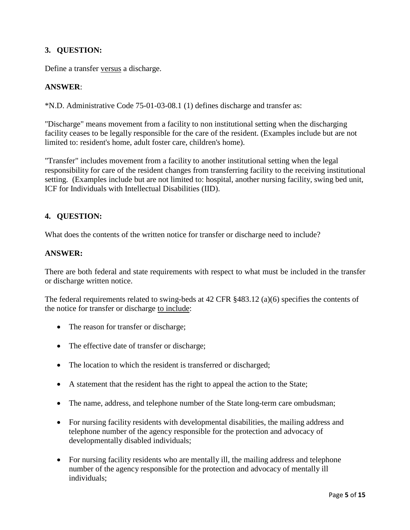Define a transfer versus a discharge.

### **ANSWER**:

\*N.D. Administrative Code 75-01-03-08.1 (1) defines discharge and transfer as:

"Discharge" means movement from a facility to non institutional setting when the discharging facility ceases to be legally responsible for the care of the resident. (Examples include but are not limited to: resident's home, adult foster care, children's home).

"Transfer" includes movement from a facility to another institutional setting when the legal responsibility for care of the resident changes from transferring facility to the receiving institutional setting. (Examples include but are not limited to: hospital, another nursing facility, swing bed unit, ICF for Individuals with Intellectual Disabilities (IID).

### **4. QUESTION:**

What does the contents of the written notice for transfer or discharge need to include?

#### **ANSWER:**

There are both federal and state requirements with respect to what must be included in the transfer or discharge written notice.

The federal requirements related to swing-beds at 42 CFR §483.12 (a)(6) specifies the contents of the notice for transfer or discharge to include:

- The reason for transfer or discharge;
- The effective date of transfer or discharge;
- The location to which the resident is transferred or discharged;
- A statement that the resident has the right to appeal the action to the State;
- The name, address, and telephone number of the State long-term care ombudsman;
- For nursing facility residents with developmental disabilities, the mailing address and telephone number of the agency responsible for the protection and advocacy of developmentally disabled individuals;
- For nursing facility residents who are mentally ill, the mailing address and telephone number of the agency responsible for the protection and advocacy of mentally ill individuals;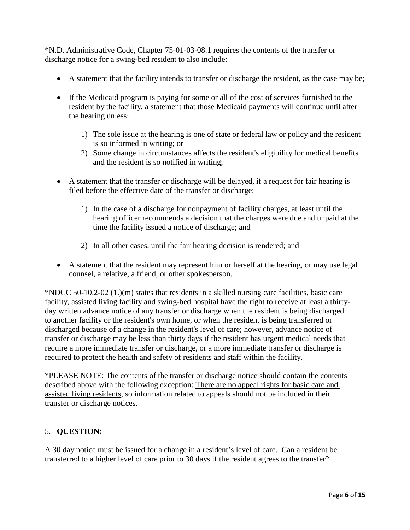\*N.D. Administrative Code, Chapter 75-01-03-08.1 requires the contents of the transfer or discharge notice for a swing-bed resident to also include:

- A statement that the facility intends to transfer or discharge the resident, as the case may be;
- If the Medicaid program is paying for some or all of the cost of services furnished to the resident by the facility, a statement that those Medicaid payments will continue until after the hearing unless:
	- 1) The sole issue at the hearing is one of state or federal law or policy and the resident is so informed in writing; or
	- 2) Some change in circumstances affects the resident's eligibility for medical benefits and the resident is so notified in writing;
- A statement that the transfer or discharge will be delayed, if a request for fair hearing is filed before the effective date of the transfer or discharge:
	- 1) In the case of a discharge for nonpayment of facility charges, at least until the hearing officer recommends a decision that the charges were due and unpaid at the time the facility issued a notice of discharge; and
	- 2) In all other cases, until the fair hearing decision is rendered; and
- A statement that the resident may represent him or herself at the hearing, or may use legal counsel, a relative, a friend, or other spokesperson.

\*NDCC 50-10.2-02 (1.)(m) states that residents in a skilled nursing care facilities, basic care facility, assisted living facility and swing-bed hospital have the right to receive at least a thirtyday written advance notice of any transfer or discharge when the resident is being discharged to another facility or the resident's own home, or when the resident is being transferred or discharged because of a change in the resident's level of care; however, advance notice of transfer or discharge may be less than thirty days if the resident has urgent medical needs that require a more immediate transfer or discharge, or a more immediate transfer or discharge is required to protect the health and safety of residents and staff within the facility.

\*PLEASE NOTE: The contents of the transfer or discharge notice should contain the contents described above with the following exception: There are no appeal rights for basic care and assisted living residents, so information related to appeals should not be included in their transfer or discharge notices.

#### 5. **QUESTION:**

A 30 day notice must be issued for a change in a resident's level of care. Can a resident be transferred to a higher level of care prior to 30 days if the resident agrees to the transfer?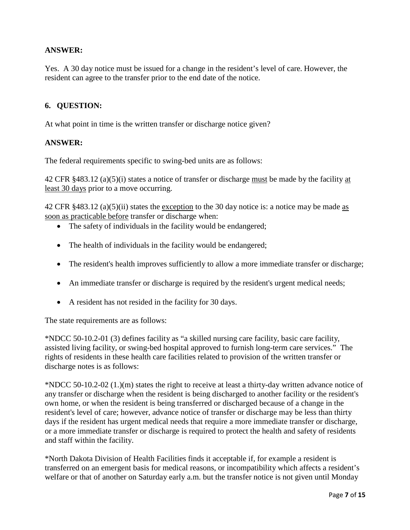# **ANSWER:**

Yes. A 30 day notice must be issued for a change in the resident's level of care. However, the resident can agree to the transfer prior to the end date of the notice.

# **6. QUESTION:**

At what point in time is the written transfer or discharge notice given?

#### **ANSWER:**

The federal requirements specific to swing-bed units are as follows:

42 CFR §483.12 (a)(5)(i) states a notice of transfer or discharge must be made by the facility at least 30 days prior to a move occurring.

42 CFR §483.12 (a)(5)(ii) states the exception to the 30 day notice is: a notice may be made as soon as practicable before transfer or discharge when:

- The safety of individuals in the facility would be endangered;
- The health of individuals in the facility would be endangered;
- The resident's health improves sufficiently to allow a more immediate transfer or discharge;
- An immediate transfer or discharge is required by the resident's urgent medical needs;
- A resident has not resided in the facility for 30 days.

The state requirements are as follows:

\*NDCC 50-10.2-01 (3) defines facility as "a skilled nursing care facility, basic care facility, assisted living facility, or swing-bed hospital approved to furnish long-term care services." The rights of residents in these health care facilities related to provision of the written transfer or discharge notes is as follows:

\*NDCC 50-10.2-02 (1.)(m) states the right to receive at least a thirty-day written advance notice of any transfer or discharge when the resident is being discharged to another facility or the resident's own home, or when the resident is being transferred or discharged because of a change in the resident's level of care; however, advance notice of transfer or discharge may be less than thirty days if the resident has urgent medical needs that require a more immediate transfer or discharge, or a more immediate transfer or discharge is required to protect the health and safety of residents and staff within the facility.

\*North Dakota Division of Health Facilities finds it acceptable if, for example a resident is transferred on an emergent basis for medical reasons, or incompatibility which affects a resident's welfare or that of another on Saturday early a.m. but the transfer notice is not given until Monday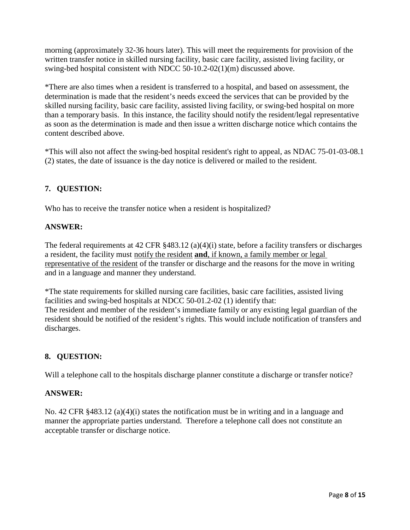morning (approximately 32-36 hours later). This will meet the requirements for provision of the written transfer notice in skilled nursing facility, basic care facility, assisted living facility, or swing-bed hospital consistent with NDCC 50-10.2-02(1)(m) discussed above.

\*There are also times when a resident is transferred to a hospital, and based on assessment, the determination is made that the resident's needs exceed the services that can be provided by the skilled nursing facility, basic care facility, assisted living facility, or swing-bed hospital on more than a temporary basis. In this instance, the facility should notify the resident/legal representative as soon as the determination is made and then issue a written discharge notice which contains the content described above.

\*This will also not affect the swing-bed hospital resident's right to appeal, as NDAC 75-01-03-08.1 (2) states, the date of issuance is the day notice is delivered or mailed to the resident.

# **7. QUESTION:**

Who has to receive the transfer notice when a resident is hospitalized?

### **ANSWER:**

The federal requirements at 42 CFR §483.12 (a)(4)(i) state, before a facility transfers or discharges a resident, the facility must notify the resident **and**, if known, a family member or legal representative of the resident of the transfer or discharge and the reasons for the move in writing and in a language and manner they understand.

\*The state requirements for skilled nursing care facilities, basic care facilities, assisted living facilities and swing-bed hospitals at NDCC 50-01.2-02 (1) identify that: The resident and member of the resident's immediate family or any existing legal guardian of the resident should be notified of the resident's rights. This would include notification of transfers and discharges.

# **8. QUESTION:**

Will a telephone call to the hospitals discharge planner constitute a discharge or transfer notice?

#### **ANSWER:**

No. 42 CFR §483.12 (a)(4)(i) states the notification must be in writing and in a language and manner the appropriate parties understand. Therefore a telephone call does not constitute an acceptable transfer or discharge notice.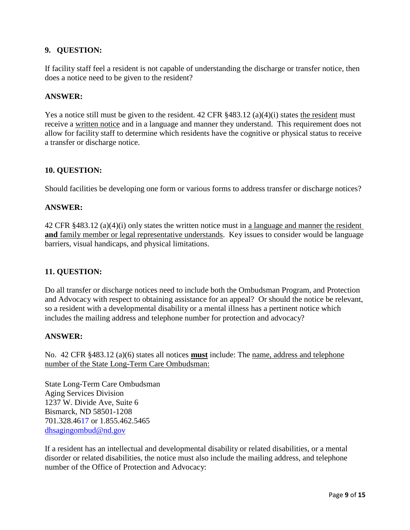If facility staff feel a resident is not capable of understanding the discharge or transfer notice, then does a notice need to be given to the resident?

#### **ANSWER:**

Yes a notice still must be given to the resident. 42 CFR  $§483.12$  (a)(4)(i) states the resident must receive a written notice and in a language and manner they understand. This requirement does not allow for facility staff to determine which residents have the cognitive or physical status to receive a transfer or discharge notice.

#### **10. QUESTION:**

Should facilities be developing one form or various forms to address transfer or discharge notices?

#### **ANSWER:**

42 CFR §483.12 (a)(4)(i) only states the written notice must in a language and manner the resident and family member or legal representative understands. Key issues to consider would be language barriers, visual handicaps, and physical limitations.

#### **11. QUESTION:**

Do all transfer or discharge notices need to include both the Ombudsman Program, and Protection and Advocacy with respect to obtaining assistance for an appeal? Or should the notice be relevant, so a resident with a developmental disability or a mental illness has a pertinent notice which includes the mailing address and telephone number for protection and advocacy?

#### **ANSWER:**

No. 42 CFR §483.12 (a)(6) states all notices **must** include: The name, address and telephone number of the State Long-Term Care Ombudsman:

State Long-Term Care Ombudsman Aging Services Division 1237 W. Divide Ave, Suite 6 Bismarck, ND 58501-1208 701.328.4617 or 1.855.462.5465 [dhsagingombud@nd.gov](mailto:dhsagingombud@nd.gov)

If a resident has an intellectual and developmental disability or related disabilities, or a mental disorder or related disabilities, the notice must also include the mailing address, and telephone number of the Office of Protection and Advocacy: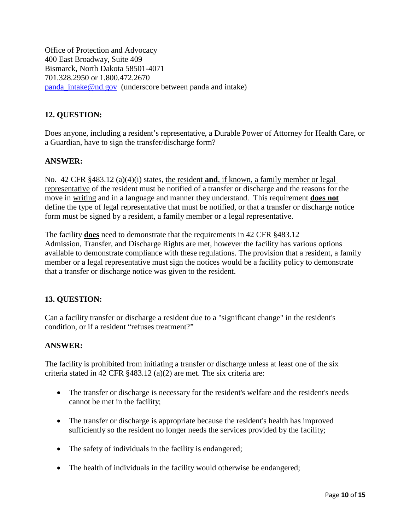Office of Protection and Advocacy 400 East Broadway, Suite 409 Bismarck, North Dakota 58501-4071 701.328.2950 or 1.800.472.2670 [panda\\_intake@nd.gov](mailto:panda_intake@nd.gov) (underscore between panda and intake)

# **12. QUESTION:**

Does anyone, including a resident's representative, a Durable Power of Attorney for Health Care, or a Guardian, have to sign the transfer/discharge form?

### **ANSWER:**

No. 42 CFR §483.12 (a)(4)(i) states, the resident **and**, if known, a family member or legal representative of the resident must be notified of a transfer or discharge and the reasons for the move in writing and in a language and manner they understand. This requirement **does not** define the type of legal representative that must be notified, or that a transfer or discharge notice form must be signed by a resident, a family member or a legal representative.

The facility **does** need to demonstrate that the requirements in 42 CFR §483.12 Admission, Transfer, and Discharge Rights are met, however the facility has various options available to demonstrate compliance with these regulations. The provision that a resident, a family member or a legal representative must sign the notices would be a facility policy to demonstrate that a transfer or discharge notice was given to the resident.

# **13. QUESTION:**

Can a facility transfer or discharge a resident due to a "significant change" in the resident's condition, or if a resident "refuses treatment?"

#### **ANSWER:**

The facility is prohibited from initiating a transfer or discharge unless at least one of the six criteria stated in 42 CFR §483.12 (a)(2) are met. The six criteria are:

- The transfer or discharge is necessary for the resident's welfare and the resident's needs cannot be met in the facility;
- The transfer or discharge is appropriate because the resident's health has improved sufficiently so the resident no longer needs the services provided by the facility;
- The safety of individuals in the facility is endangered;
- The health of individuals in the facility would otherwise be endangered;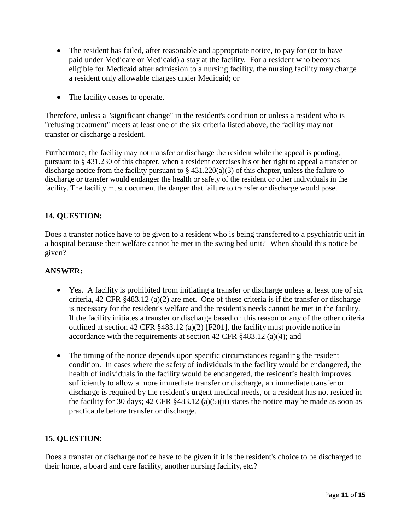- The resident has failed, after reasonable and appropriate notice, to pay for (or to have paid under Medicare or Medicaid) a stay at the facility. For a resident who becomes eligible for Medicaid after admission to a nursing facility, the nursing facility may charge a resident only allowable charges under Medicaid; or
- The facility ceases to operate.

Therefore, unless a "significant change" in the resident's condition or unless a resident who is "refusing treatment" meets at least one of the six criteria listed above, the facility may not transfer or discharge a resident.

Furthermore, the facility may not transfer or discharge the resident while the appeal is pending, pursuant to § 431.230 of this chapter, when a resident exercises his or her right to appeal a transfer or discharge notice from the facility pursuant to  $\S$  431.220(a)(3) of this chapter, unless the failure to discharge or transfer would endanger the health or safety of the resident or other individuals in the facility. The facility must document the danger that failure to transfer or discharge would pose.

# **14. QUESTION:**

Does a transfer notice have to be given to a resident who is being transferred to a psychiatric unit in a hospital because their welfare cannot be met in the swing bed unit? When should this notice be given?

# **ANSWER:**

- Yes. A facility is prohibited from initiating a transfer or discharge unless at least one of six criteria, 42 CFR §483.12 (a)(2) are met. One of these criteria is if the transfer or discharge is necessary for the resident's welfare and the resident's needs cannot be met in the facility. If the facility initiates a transfer or discharge based on this reason or any of the other criteria outlined at section 42 CFR §483.12 (a)(2) [F201], the facility must provide notice in accordance with the requirements at section 42 CFR §483.12 (a)(4); and
- The timing of the notice depends upon specific circumstances regarding the resident condition. In cases where the safety of individuals in the facility would be endangered, the health of individuals in the facility would be endangered, the resident's health improves sufficiently to allow a more immediate transfer or discharge, an immediate transfer or discharge is required by the resident's urgent medical needs, or a resident has not resided in the facility for 30 days; 42 CFR §483.12 (a)(5)(ii) states the notice may be made as soon as practicable before transfer or discharge.

# **15. QUESTION:**

Does a transfer or discharge notice have to be given if it is the resident's choice to be discharged to their home, a board and care facility, another nursing facility, etc.?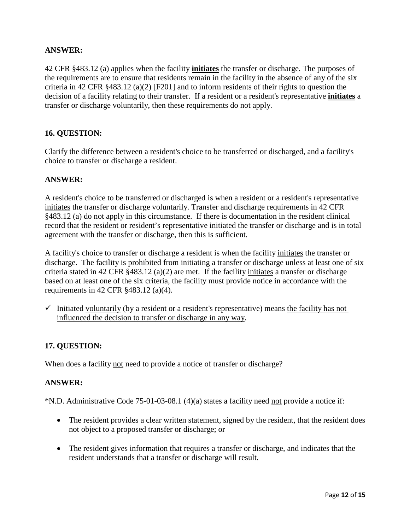# **ANSWER:**

42 CFR §483.12 (a) applies when the facility **initiates** the transfer or discharge. The purposes of the requirements are to ensure that residents remain in the facility in the absence of any of the six criteria in 42 CFR §483.12 (a)(2) [F201] and to inform residents of their rights to question the decision of a facility relating to their transfer. If a resident or a resident's representative **initiates** a transfer or discharge voluntarily, then these requirements do not apply.

### **16. QUESTION:**

Clarify the difference between a resident's choice to be transferred or discharged, and a facility's choice to transfer or discharge a resident.

### **ANSWER:**

A resident's choice to be transferred or discharged is when a resident or a resident's representative initiates the transfer or discharge voluntarily. Transfer and discharge requirements in 42 CFR §483.12 (a) do not apply in this circumstance. If there is documentation in the resident clinical record that the resident or resident's representative initiated the transfer or discharge and is in total agreement with the transfer or discharge, then this is sufficient.

A facility's choice to transfer or discharge a resident is when the facility initiates the transfer or discharge. The facility is prohibited from initiating a transfer or discharge unless at least one of six criteria stated in 42 CFR §483.12 (a)(2) are met. If the facility initiates a transfer or discharge based on at least one of the six criteria, the facility must provide notice in accordance with the requirements in 42 CFR §483.12 (a)(4).

Initiated voluntarily (by a resident or a resident's representative) means the facility has not influenced the decision to transfer or discharge in any way.

# **17. QUESTION:**

When does a facility not need to provide a notice of transfer or discharge?

#### **ANSWER:**

\*N.D. Administrative Code 75-01-03-08.1 (4)(a) states a facility need not provide a notice if:

- The resident provides a clear written statement, signed by the resident, that the resident does not object to a proposed transfer or discharge; or
- The resident gives information that requires a transfer or discharge, and indicates that the resident understands that a transfer or discharge will result.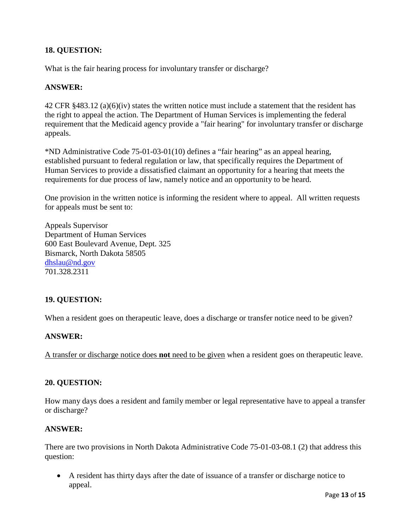What is the fair hearing process for involuntary transfer or discharge?

### **ANSWER:**

42 CFR §483.12 (a)(6)(iv) states the written notice must include a statement that the resident has the right to appeal the action. The Department of Human Services is implementing the federal requirement that the Medicaid agency provide a "fair hearing" for involuntary transfer or discharge appeals.

\*ND Administrative Code 75-01-03-01(10) defines a "fair hearing" as an appeal hearing, established pursuant to federal regulation or law, that specifically requires the Department of Human Services to provide a dissatisfied claimant an opportunity for a hearing that meets the requirements for due process of law, namely notice and an opportunity to be heard.

One provision in the written notice is informing the resident where to appeal. All written requests for appeals must be sent to:

Appeals Supervisor Department of Human Services 600 East Boulevard Avenue, Dept. 325 Bismarck, North Dakota 58505 [dhslau@nd.gov](mailto:dhslau@nd.gov) 701.328.2311

# **19. QUESTION:**

When a resident goes on therapeutic leave, does a discharge or transfer notice need to be given?

#### **ANSWER:**

A transfer or discharge notice does **not** need to be given when a resident goes on therapeutic leave.

#### **20. QUESTION:**

How many days does a resident and family member or legal representative have to appeal a transfer or discharge?

#### **ANSWER:**

There are two provisions in North Dakota Administrative Code 75-01-03-08.1 (2) that address this question:

• A resident has thirty days after the date of issuance of a transfer or discharge notice to appeal.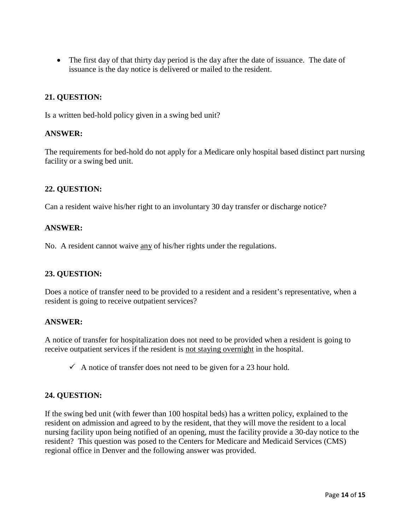• The first day of that thirty day period is the day after the date of issuance. The date of issuance is the day notice is delivered or mailed to the resident.

### **21. QUESTION:**

Is a written bed-hold policy given in a swing bed unit?

#### **ANSWER:**

The requirements for bed-hold do not apply for a Medicare only hospital based distinct part nursing facility or a swing bed unit.

#### **22. QUESTION:**

Can a resident waive his/her right to an involuntary 30 day transfer or discharge notice?

#### **ANSWER:**

No. A resident cannot waive <u>any</u> of his/her rights under the regulations.

#### **23. QUESTION:**

Does a notice of transfer need to be provided to a resident and a resident's representative, when a resident is going to receive outpatient services?

#### **ANSWER:**

A notice of transfer for hospitalization does not need to be provided when a resident is going to receive outpatient services if the resident is not staying overnight in the hospital.

 $\checkmark$  A notice of transfer does not need to be given for a 23 hour hold.

#### **24. QUESTION:**

If the swing bed unit (with fewer than 100 hospital beds) has a written policy, explained to the resident on admission and agreed to by the resident, that they will move the resident to a local nursing facility upon being notified of an opening, must the facility provide a 30-day notice to the resident? This question was posed to the Centers for Medicare and Medicaid Services (CMS) regional office in Denver and the following answer was provided.